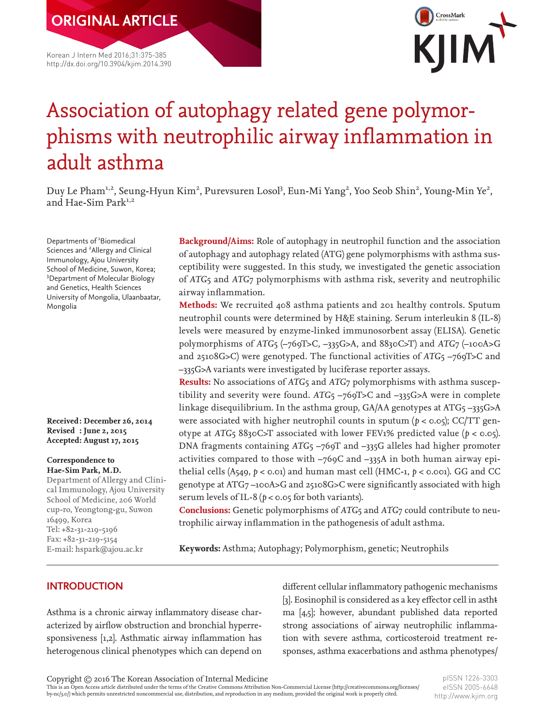Korean J Intern Med 2016;31:375-385 http://dx.doi.org/10.3904/kjim.2014.390

**ORIGINAL ARTICLE**



# Association of autophagy related gene polymorphisms with neutrophilic airway inflammation in adult asthma

Duy Le Pham<sup>1,2</sup>, Seung-Hyun Kim<sup>2</sup>, Purevsuren Losol<sup>3</sup>, Eun-Mi Yang<sup>2</sup>, Yoo Seob Shin<sup>2</sup>, Young-Min Ye<sup>2</sup>, and Hae-Sim Park<sup>1,2</sup>

Departments of <sup>1</sup>Biomedical Sciences and <sup>2</sup> Allergy and Clinical Immunology, Ajou University School of Medicine, Suwon, Korea; 3 Department of Molecular Biology and Genetics, Health Sciences University of Mongolia, Ulaanbaatar, Mongolia

**Received: December 26, 2014 Revised : June 2, 2015 Accepted: August 17, 2015**

#### **Correspondence to Hae-Sim Park, M.D.**

Department of Allergy and Clinical Immunology, Ajou University School of Medicine, 206 World cup-ro, Yeongtong-gu, Suwon 16499, Korea Tel: +82-31-219-5196 Fax: +82-31-219-5154 E-mail: [hspark@ajou.ac.kr](mailto:hspark@ajou.ac.kr)

**Background/Aims:** Role of autophagy in neutrophil function and the association of autophagy and autophagy related (ATG) gene polymorphisms with asthma susceptibility were suggested. In this study, we investigated the genetic association of *ATG*5 and *ATG*7 polymorphisms with asthma risk, severity and neutrophilic airway inflammation.

**Methods:** We recruited 408 asthma patients and 201 healthy controls. Sputum neutrophil counts were determined by H&E staining. Serum interleukin 8 (IL-8) levels were measured by enzyme-linked immunosorbent assay (ELISA). Genetic polymorphisms of *ATG*5 (–769T>C, –335G>A, and 8830C>T) and *ATG*7 (–100A>G and 25108G>C) were genotyped. The functional activities of *ATG*5 –769T>C and –335G>A variants were investigated by luciferase reporter assays.

**Results:** No associations of *ATG*5 and *ATG*7 polymorphisms with asthma susceptibility and severity were found. *ATG*5 –769T>C and –335G>A were in complete linkage disequilibrium. In the asthma group, GA/AA genotypes at ATG5 –335G>A were associated with higher neutrophil counts in sputum ( $p <$  0.05); CC/TT genotype at *ATG*<sub>5</sub> 8830C>T associated with lower FEV1% predicted value ( $p < 0.05$ ). DNA fragments containing *ATG*5 –769T and –335G alleles had higher promoter activities compared to those with –769C and –335A in both human airway epithelial cells (A549, *p* < 0.01) and human mast cell (HMC-1, *p* < 0.001). GG and CC genotype at ATG7 –100A>G and 25108G>C were significantly associated with high serum levels of IL-8 ( $p < 0.05$  for both variants).

**Conclusions:** Genetic polymorphisms of *ATG*5 and *ATG*7 could contribute to neutrophilic airway inflammation in the pathogenesis of adult asthma.

**Keywords:** Asthma; Autophagy; Polymorphism, genetic; Neutrophils

# **INTRODUCTION**

Asthma is a chronic airway inflammatory disease characterized by airflow obstruction and bronchial hyperresponsiveness [1,2]. Asthmatic airway inflammation has heterogenous clinical phenotypes which can depend on

different cellular inflammatory pathogenic mechanisms [3]. Eosinophil is considered as a key effector cell in astherma [4,5]; however, abundant published data reported strong associations of airway neutrophilic inflammation with severe asthma, corticosteroid treatment responses, asthma exacerbations and asthma phenotypes/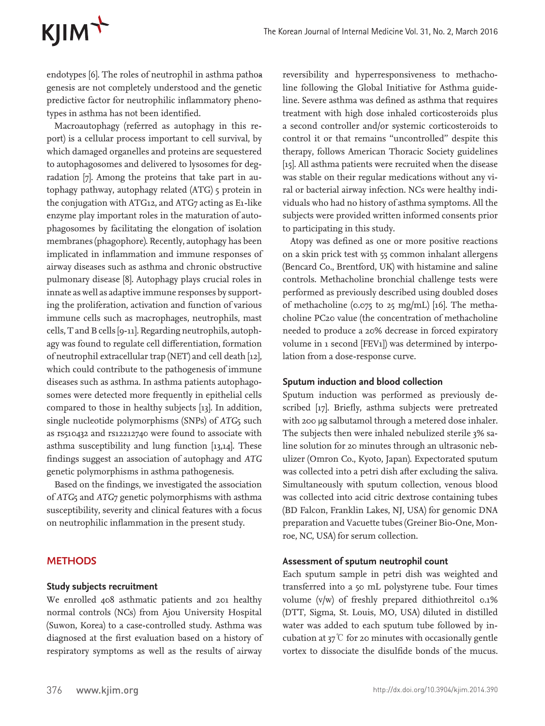# KJIM<sup>+</sup>

endotypes [6]. The roles of neutrophil in asthma pathoagenesis are not completely understood and the genetic predictive factor for neutrophilic inflammatory phenotypes in asthma has not been identified.

Macroautophagy (referred as autophagy in this report) is a cellular process important to cell survival, by which damaged organelles and proteins are sequestered to autophagosomes and delivered to lysosomes for degradation [7]. Among the proteins that take part in autophagy pathway, autophagy related (ATG) 5 protein in the conjugation with ATG12, and ATG7 acting as E1-like enzyme play important roles in the maturation of autophagosomes by facilitating the elongation of isolation membranes (phagophore). Recently, autophagy has been implicated in inflammation and immune responses of airway diseases such as asthma and chronic obstructive pulmonary disease [8]. Autophagy plays crucial roles in innate as well as adaptive immune responses by supporting the proliferation, activation and function of various immune cells such as macrophages, neutrophils, mast cells, T and B cells [9-11]. Regarding neutrophils, autophagy was found to regulate cell differentiation, formation of neutrophil extracellular trap (NET) and cell death [12], which could contribute to the pathogenesis of immune diseases such as asthma. In asthma patients autophagosomes were detected more frequently in epithelial cells compared to those in healthy subjects [13]. In addition, single nucleotide polymorphisms (SNPs) of *ATG*<sub>5</sub> such as rs510432 and rs12212740 were found to associate with asthma susceptibility and lung function [13,14]. These findings suggest an association of autophagy and *ATG* genetic polymorphisms in asthma pathogenesis.

Based on the findings, we investigated the association of *ATG*5 and *ATG*7 genetic polymorphisms with asthma susceptibility, severity and clinical features with a focus on neutrophilic inflammation in the present study.

# **METHODS**

#### **Study subjects recruitment**

We enrolled 408 asthmatic patients and 201 healthy normal controls (NCs) from Ajou University Hospital (Suwon, Korea) to a case-controlled study. Asthma was diagnosed at the first evaluation based on a history of respiratory symptoms as well as the results of airway

reversibility and hyperresponsiveness to methacholine following the Global Initiative for Asthma guideline. Severe asthma was defined as asthma that requires treatment with high dose inhaled corticosteroids plus a second controller and/or systemic corticosteroids to control it or that remains ''uncontrolled'' despite this therapy, follows American Thoracic Society guidelines [15]. All asthma patients were recruited when the disease was stable on their regular medications without any viral or bacterial airway infection. NCs were healthy individuals who had no history of asthma symptoms. All the subjects were provided written informed consents prior to participating in this study.

Atopy was defined as one or more positive reactions on a skin prick test with 55 common inhalant allergens (Bencard Co., Brentford, UK) with histamine and saline controls. Methacholine bronchial challenge tests were performed as previously described using doubled doses of methacholine (0.075 to 25 mg/mL) [16]. The methacholine PC20 value (the concentration of methacholine needed to produce a 20% decrease in forced expiratory volume in 1 second [FEV1]) was determined by interpolation from a dose-response curve.

#### **Sputum induction and blood collection**

Sputum induction was performed as previously described [17]. Briefly, asthma subjects were pretreated with 200 μg salbutamol through a metered dose inhaler. The subjects then were inhaled nebulized sterile 3% saline solution for 20 minutes through an ultrasonic nebulizer (Omron Co., Kyoto, Japan). Expectorated sputum was collected into a petri dish after excluding the saliva. Simultaneously with sputum collection, venous blood was collected into acid citric dextrose containing tubes (BD Falcon, Franklin Lakes, NJ, USA) for genomic DNA preparation and Vacuette tubes (Greiner Bio-One, Monroe, NC, USA) for serum collection.

#### **Assessment of sputum neutrophil count**

Each sputum sample in petri dish was weighted and transferred into a 50 mL polystyrene tube. Four times volume (v/w) of freshly prepared dithiothreitol 0.1% (DTT, Sigma, St. Louis, MO, USA) diluted in distilled water was added to each sputum tube followed by incubation at  $37^\circ$  for 20 minutes with occasionally gentle vortex to dissociate the disulfide bonds of the mucus.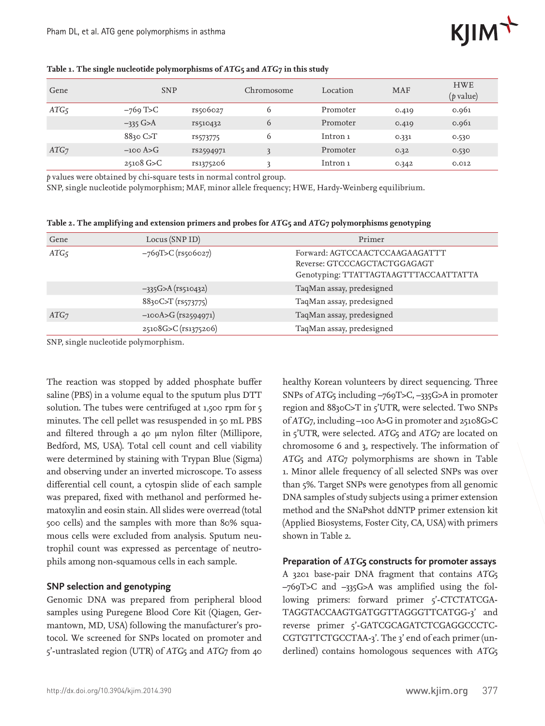

| Gene             | <b>SNP</b>           |           | Chromosome   | Location | <b>MAF</b> | <b>HWE</b><br>$(p \text{ value})$ |
|------------------|----------------------|-----------|--------------|----------|------------|-----------------------------------|
| ATG <sub>5</sub> | $-769$ T>C           | rs506027  | <sub>0</sub> | Promoter | 0.419      | 0.961                             |
|                  | $-335$ G>A           | rs510432  | $\circ$      | Promoter | 0.419      | 0.961                             |
|                  | $8830$ C $\text{ST}$ | rs573775  | <sub>0</sub> | Intron 1 | 0.331      | 0.530                             |
| ATG <sub>7</sub> | $-100$ A>G           | rs2594971 | 3            | Promoter | 0.32       | 0.530                             |
|                  | $25108$ G>C          | rs1375206 |              | Intron 1 | 0.342      | 0.012                             |

#### **Table 1. The single nucleotide polymorphisms of** *ATG***5 and** *ATG***7 in this study**

*p* values were obtained by chi-square tests in normal control group.

SNP, single nucleotide polymorphism; MAF, minor allele frequency; HWE, Hardy-Weinberg equilibrium.

| Table 2. The amplifying and extension primers and probes for ATG5 and ATG7 polymorphisms genotyping |  |  |  |  |
|-----------------------------------------------------------------------------------------------------|--|--|--|--|
|                                                                                                     |  |  |  |  |

| Gene             | Locus (SNP ID)          | Primer                                                                                                  |
|------------------|-------------------------|---------------------------------------------------------------------------------------------------------|
| ATG <sub>5</sub> | $-769T>C$ (rs506027)    | Forward: AGTCCAACTCCAAGAAGATTT<br>Reverse: GTCCCAGCTACTGGAGAGT<br>Genotyping: TTATTAGTAAGTTTACCAATTATTA |
|                  | $-335G > A (rs510432)$  | TaqMan assay, predesigned                                                                               |
|                  | 8830C>T (rs573775)      | TaqMan assay, predesigned                                                                               |
| ATG <sub>7</sub> | $-100A > G$ (rs2594971) | TaqMan assay, predesigned                                                                               |
|                  | 25108G>C (rs1375206)    | TaqMan assay, predesigned                                                                               |

SNP, single nucleotide polymorphism.

The reaction was stopped by added phosphate buffer saline (PBS) in a volume equal to the sputum plus DTT solution. The tubes were centrifuged at 1,500 rpm for 5 minutes. The cell pellet was resuspended in 50 mL PBS and filtered through a 40 μm nylon filter (Millipore, Bedford, MS, USA). Total cell count and cell viability were determined by staining with Trypan Blue (Sigma) and observing under an inverted microscope. To assess differential cell count, a cytospin slide of each sample was prepared, fixed with methanol and performed hematoxylin and eosin stain. All slides were overread (total 500 cells) and the samples with more than 80% squamous cells were excluded from analysis. Sputum neutrophil count was expressed as percentage of neutrophils among non-squamous cells in each sample.

### **SNP selection and genotyping**

Genomic DNA was prepared from peripheral blood samples using Puregene Blood Core Kit (Qiagen, Germantown, MD, USA) following the manufacturer's protocol. We screened for SNPs located on promoter and 5'-untraslated region (UTR) of *ATG*5 and *ATG*7 from 40 healthy Korean volunteers by direct sequencing. Three SNPs of *ATG*5 including –769T>C, –335G>A in promoter region and 8830C>T in 5'UTR, were selected. Two SNPs of *ATG*7, including –100 A>G in promoter and 25108G>C in 5'UTR, were selected. *ATG*5 and *ATG*7 are located on chromosome 6 and 3, respectively. The information of *ATG*5 and *ATG*7 polymorphisms are shown in Table 1. Minor allele frequency of all selected SNPs was over than 5%. Target SNPs were genotypes from all genomic DNA samples of study subjects using a primer extension method and the SNaPshot ddNTP primer extension kit (Applied Biosystems, Foster City, CA, USA) with primers shown in Table 2.

### **Preparation of** *ATG***5 constructs for promoter assays**

A 3201 base-pair DNA fragment that contains *ATG*5 –769T>C and –335G>A was amplified using the following primers: forward primer 5'-CTCTATCGA-TAGGTACCAAGTGATGGTTAGGGTTCATGG-3' and reverse primer 5'-GATCGCAGATCTCGAGGCCCTC-CGTGTTCTGCCTAA-3'. The 3' end of each primer (underlined) contains homologous sequences with *ATG*5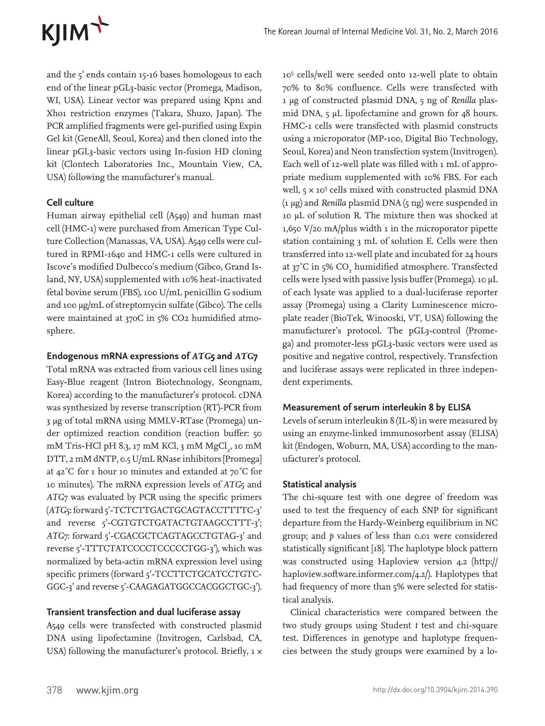

and the 5' ends contain 15-16 bases homologous to each end of the linear pGL3-basic vector (Promega, Madison, WI, USA). Linear vector was prepared using Kpn1 and Xho1 restriction enzymes (Takara, Shuzo, Japan). The PCR amplified fragments were gel-purified using Expin Gel kit (GeneAll, Seoul, Korea) and then cloned into the linear pGL3-basic vectors using In-fusion HD cloning kit (Clontech Laboratories Inc., Mountain View, CA, USA) following the manufacturer's manual.

# **Cell culture**

Human airway epithelial cell (A549) and human mast cell (HMC-1) were purchased from American Type Culture Collection (Manassas, VA, USA). A549 cells were cultured in RPMI-1640 and HMC-1 cells were cultured in Iscove's modified Dulbecco's medium (Gibco, Grand Island, NY, USA) supplemented with 10% heat-inactivated fetal bovine serum (FBS), 100 U/mL penicillin G sodium and 100 μg/mL of streptomycin sulfate (Gibco). The cells were maintained at 37oC in 5% CO2 humidified atmosphere.

#### **Endogenous mRNA expressions of** *ATG***5 and** *ATG***7**

Total mRNA was extracted from various cell lines using Easy-Blue reagent (Intron Biotechnology, Seongnam, Korea) according to the manufacturer's protocol. cDNA was synthesized by reverse transcription (RT)-PCR from 3 μg of total mRNA using MMLV-RTase (Promega) under optimized reaction condition (reaction buffer: 50 mM Tris-HCl pH 8.3, 17 mM KCl, 3 mM MgCl<sub>2</sub>, 10 mM DTT, 2 mM dNTP, 0.5 U/mL RNase inhibitors [Promega] at 42˚C for 1 hour 10 minutes and extanded at 70˚C for 10 minutes). The mRNA expression levels of *ATG*5 and *ATG*7 was evaluated by PCR using the specific primers (*ATG*5: forward 5'-TCTCTTGACTGCAGTACCTTTTC-3' and reverse 5'-CGTGTCTGATACTGTAAGCCTTT-3'; ATG7: forward 5'-CGACGCTCAGTAGCCTGTAG-3' and reverse 5'-TTTCTATCCCCTCCCCCTGG-3'), which was normalized by beta-actin mRNA expression level using specific primers (forward 5'-TCCTTCTGCATCCTGTC-GGC-3' and reverse 5'-CAAGAGATGGCCACGGCTGC-3').

### **Transient transfection and dual luciferase assay**

A549 cells were transfected with constructed plasmid DNA using lipofectamine (Invitrogen, Carlsbad, CA, USA) following the manufacturer's protocol. Briefly,  $1 \times$ 

105 cells/well were seeded onto 12-well plate to obtain 70% to 80% confluence. Cells were transfected with 1 μg of constructed plasmid DNA, 5 ng of *Renilla* plasmid DNA, 5 μL lipofectamine and grown for 48 hours. HMC-1 cells were transfected with plasmid constructs using a microporator (MP-100, Digital Bio Technology, Seoul, Korea) and Neon transfection system (Invitrogen). Each well of 12-well plate was filled with 1 mL of appropriate medium supplemented with 10% FBS. For each well, 5 x 10<sup>5</sup> cells mixed with constructed plasmid DNA (1 μg) and *Renilla* plasmid DNA (5 ng) were suspended in 10 μL of solution R. The mixture then was shocked at  $1,650$  V/20 mA/plus width 1 in the microporator pipette station containing 3 mL of solution E. Cells were then transferred into 12-well plate and incubated for 24 hours at 37°C in 5% CO $_{\textrm{\tiny{2}}}$  humidified atmosphere. Transfected cells were lysed with passive lysis buffer (Promega). 10 μL of each lysate was applied to a dual-luciferase reporter assay (Promega) using a Clarity Luminescence microplate reader (BioTek, Winooski, VT, USA) following the manufacturer's protocol. The pGL3-control (Promega) and promoter-less pGL3-basic vectors were used as positive and negative control, respectively. Transfection and luciferase assays were replicated in three independent experiments.

### **Measurement of serum interleukin 8 by ELISA**

Levels of serum interleukin 8 (IL-8) in were measured by using an enzyme-linked immunosorbent assay (ELISA) kit (Endogen, Woburn, MA, USA) according to the manufacturer's protocol.

### **Statistical analysis**

The chi-square test with one degree of freedom was used to test the frequency of each SNP for significant departure from the Hardy-Weinberg equilibrium in NC group; and *p* values of less than 0.01 were considered statistically significant [18]. The haplotype block pattern was constructed using Haploview version 4.2 (http:// haploview.software.informer.com/4.2/). Haplotypes that had frequency of more than 5% were selected for statistical analysis.

Clinical characteristics were compared between the two study groups using Student *t* test and chi-square test. Differences in genotype and haplotype frequencies between the study groups were examined by a lo-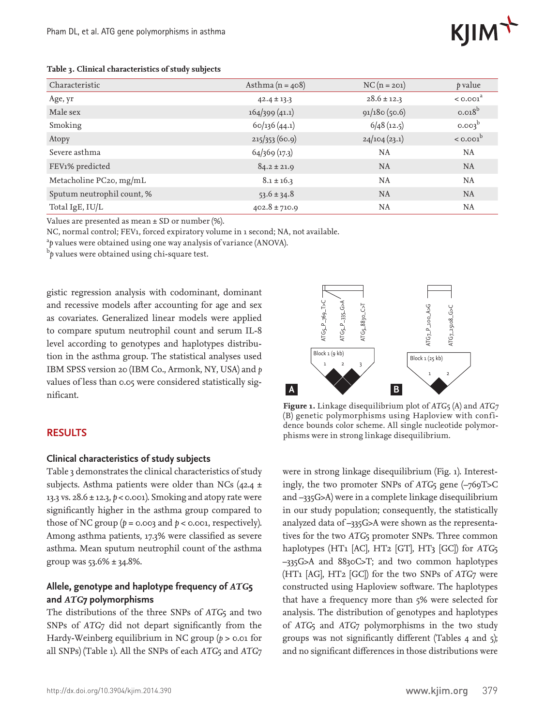

#### **Table 3. Clinical characteristics of study subjects**

| Characteristic             | Asthma $(n = 408)$ | $NC(n = 201)$   | p value                |
|----------------------------|--------------------|-----------------|------------------------|
| Age, yr                    | $42.4 \pm 13.3$    | $28.6 \pm 12.3$ | $<$ 0.001 <sup>a</sup> |
| Male sex                   | 164/399(41.1)      | 91/180(50.6)    | $0.018^b$              |
| Smoking                    | 60/136(44.1)       | $6/48$ (12.5)   | 0.003 <sup>b</sup>     |
| Atopy                      | 215/353(60.9)      | 24/104(23.1)    | $<$ 0.001 $b$          |
| Severe asthma              | 64/369(17.3)       | NA              | NA.                    |
| FEV1% predicted            | $84.2 \pm 21.9$    | <b>NA</b>       | <b>NA</b>              |
| Metacholine PC20, mg/mL    | $8.1 \pm 16.3$     | NA              | NA                     |
| Sputum neutrophil count, % | $53.6 \pm 34.8$    | <b>NA</b>       | <b>NA</b>              |
| Total IgE, IU/L            | $402.8 \pm 710.9$  | NA              | NA                     |

Values are presented as mean ± SD or number (%).

NC, normal control; FEV1, forced expiratory volume in 1 second; NA, not available.

<sup>a</sup>p values were obtained using one way analysis of variance (ANOVA).

b *p* values were obtained using chi-square test.

gistic regression analysis with codominant, dominant and recessive models after accounting for age and sex as covariates. Generalized linear models were applied to compare sputum neutrophil count and serum IL-8 level according to genotypes and haplotypes distribution in the asthma group. The statistical analyses used IBM SPSS version 20 (IBM Co., Armonk, NY, USA) and *p* values of less than 0.05 were considered statistically significant.

# **RESULTS**

### **Clinical characteristics of study subjects**

Table 3 demonstrates the clinical characteristics of study subjects. Asthma patients were older than NCs (42.4  $\pm$ 13.3 vs. 28.6 ± 12.3, *p* < 0.001). Smoking and atopy rate were significantly higher in the asthma group compared to those of NC group  $(p = 0.003$  and  $p < 0.001$ , respectively). Among asthma patients, 17.3% were classified as severe asthma. Mean sputum neutrophil count of the asthma group was 53.6% ± 34.8%.

# **Allele, genotype and haplotype frequency of** *ATG***5 and** *ATG***7 polymorphisms**

The distributions of the three SNPs of *ATG*5 and two SNPs of *ATG*7 did not depart significantly from the Hardy-Weinberg equilibrium in NC group ( $p > 0.01$  for all SNPs) (Table 1). All the SNPs of each *ATG*5 and *ATG*7



**Figure 1.** Linkage disequilibrium plot of *ATG*5 (A) and *ATG7* (B) genetic polymorphisms using Haploview with confidence bounds color scheme. All single nucleotide polymorphisms were in strong linkage disequilibrium.

were in strong linkage disequilibrium (Fig. 1). Interestingly, the two promoter SNPs of *ATG*5 gene (–769T>C and –335G>A) were in a complete linkage disequilibrium in our study population; consequently, the statistically analyzed data of –335G>A were shown as the representatives for the two *ATG*5 promoter SNPs. Three common haplotypes (HT1 [AC], HT2 [GT], HT3 [GC]) for *ATG*5 –335G>A and 8830C>T; and two common haplotypes (HT1 [AG], HT2 [GC]) for the two SNPs of *ATG*7 were constructed using Haploview software. The haplotypes that have a frequency more than 5% were selected for analysis. The distribution of genotypes and haplotypes of *ATG*5 and *ATG*7 polymorphisms in the two study groups was not significantly different (Tables 4 and 5); and no significant differences in those distributions were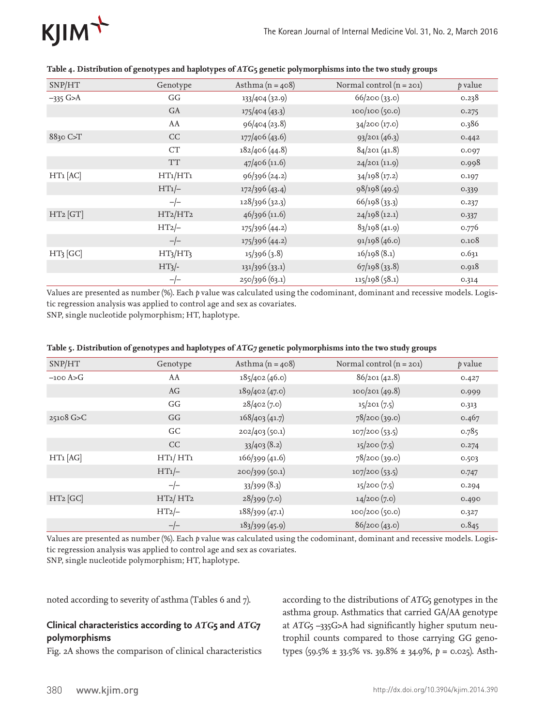

| SNP/HT               | Genotype                         | Asthma $(n = 408)$ | Normal control $(n = 201)$ | p value |
|----------------------|----------------------------------|--------------------|----------------------------|---------|
| $-335$ G>A           | GG                               | 133/404 (32.9)     | 66/200(33.0)               | 0.238   |
|                      | GA                               | 175/404(43.3)      | 100/100(50.0)              | 0.275   |
|                      | AA                               | 96/404 (23.8)      | 34/200(17.0)               | 0.386   |
| $8830$ C $\text{ST}$ | CC                               | 177/406 (43.6)     | 93/201(46.3)               | 0.442   |
|                      | CT                               | 182/406(44.8)      | 84/201(41.8)               | 0.097   |
|                      | <b>TT</b>                        | 47/406 (11.6)      | 24/201(11.9)               | 0.998   |
| $HT1$ $[AC]$         | HT1/HT1                          | 96/396 (24.2)      | 34/198 (17.2)              | 0.197   |
|                      | $HT1/-$                          | 172/396 (43.4)     | 98/198 (49.5)              | 0.339   |
|                      | $-/-$                            | 128/396 (32.3)     | 66/198(33.3)               | 0.237   |
| HT2 [GT]             | HT2/HT2                          | 46/396 (11.6)      | 24/198(12.1)               | 0.337   |
|                      | $HT2$ -                          | 175/396 (44.2)     | 83/198(41.9)               | 0.776   |
|                      | $-/-$                            | 175/396 (44.2)     | 91/198 (46.0)              | 0.108   |
| $HT3$ [GC]           | HT <sub>3</sub> /HT <sub>3</sub> | 15/396(3.8)        | 16/198(8.1)                | 0.631   |
|                      | $HT3/-$                          | 131/396(33.1)      | 67/198(33.8)               | 0.918   |
|                      | $-/-$                            | 250/396 (63.1)     | 115/198(58.1)              | 0.314   |

#### **Table 4. Distribution of genotypes and haplotypes of** *ATG***5 genetic polymorphisms into the two study groups**

Values are presented as number (%). Each *p* value was calculated using the codominant, dominant and recessive models. Logistic regression analysis was applied to control age and sex as covariates.

SNP, single nucleotide polymorphism; HT, haplotype.

|  |  | Table 5. Distribution of genotypes and haplotypes of ATG7 genetic polymorphisms into the two study groups |
|--|--|-----------------------------------------------------------------------------------------------------------|
|  |  |                                                                                                           |

| SNP/HT      | Genotype | Asthma $(n = 408)$ | Normal control $(n = 201)$ | p value |
|-------------|----------|--------------------|----------------------------|---------|
| $-100$ A>G  | AA       | 185/402(46.0)      | 86/201(42.8)               | 0.427   |
|             | AG       | 189/402(47.0)      | 100/201(49.8)              | 0.999   |
|             | GG       | 28/402(7.0)        | 15/201(7.5)                | 0.313   |
| $25108$ G>C | GG       | 168/403(41.7)      | 78/200 (39.0)              | 0.467   |
|             | GC       | 202/403 (50.1)     | 107/200(53.5)              | 0.785   |
|             | CC       | 33/403(8.2)        | 15/200(7.5)                | 0.274   |
| $HT1$ [AG]  | HT1/HT1  | 166/399(41.6)      | 78/200 (39.0)              | 0.503   |
|             | $HT1/-$  | 200/399(50.1)      | 107/200(53.5)              | 0.747   |
|             | $-/-$    | 33/399(8.3)        | 15/200(7.5)                | 0.294   |
| $HT2$ [GC]  | HT2/HT2  | 28/399(7.0)        | 14/200(7.0)                | 0.490   |
|             | $HT2$ -  | 188/399(47.1)      | 100/200 (50.0)             | 0.327   |
|             | $-/-$    | 183/399(45.9)      | 86/200(43.0)               | 0.845   |

Values are presented as number (%). Each *p* value was calculated using the codominant, dominant and recessive models. Logistic regression analysis was applied to control age and sex as covariates.

SNP, single nucleotide polymorphism; HT, haplotype.

noted according to severity of asthma (Tables 6 and 7).

# **Clinical characteristics according to** *ATG***5 and** *ATG***7 polymorphisms**

Fig. 2A shows the comparison of clinical characteristics

according to the distributions of *ATG*5 genotypes in the asthma group. Asthmatics that carried GA/AA genotype at *ATG*5 –335G>A had significantly higher sputum neutrophil counts compared to those carrying GG genotypes (59.5% ± 33.5% vs. 39.8% ± 34.9%, *p* = 0.025). Asth-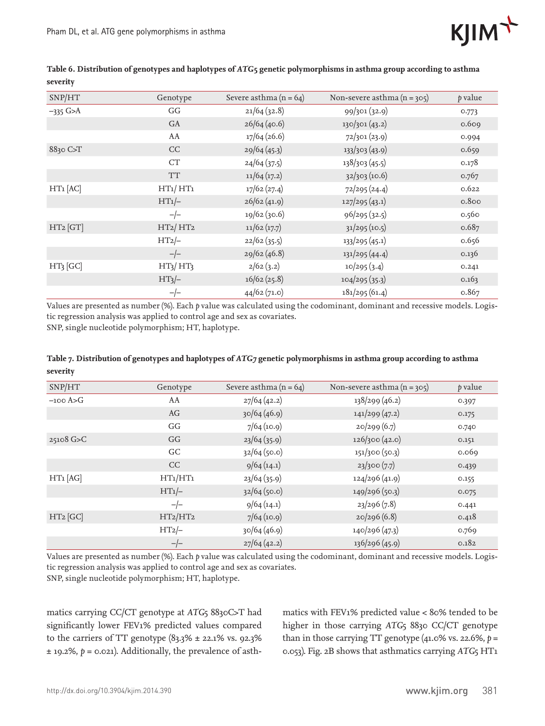

| SNP/HT       | Genotype                         | Severe asthma $(n = 64)$ | Non-severe asthma $(n = 305)$ | p value |
|--------------|----------------------------------|--------------------------|-------------------------------|---------|
| $-335$ G>A   | GG                               | 21/64(32.8)              | 99/301(32.9)                  | 0.773   |
|              | GA                               | 26/64(40.6)              | 130/301 (43.2)                | 0.609   |
|              | AA                               | 17/64 (26.6)             | 72/301(23.9)                  | 0.994   |
| 8830 C>T     | CC                               | 29/64(45.3)              | 133/303 (43.9)                | 0.659   |
|              | CT                               | 24/64(37.5)              | 138/303 (45.5)                | 0.178   |
|              | <b>TT</b>                        | 11/64(17.2)              | 32/303(10.6)                  | 0.767   |
| $HT1$ $[AC]$ | HT1/HT1                          | 17/62(27.4)              | 72/295 (24.4)                 | 0.622   |
|              | $HT1/-$                          | 26/62(41.9)              | 127/295(43.1)                 | 0.800   |
|              | $-/-$                            | 19/62 (30.6)             | 96/295 (32.5)                 | 0.560   |
| HT2 [GT]     | HT2/HT2                          | 11/62(17.7)              | $31/295$ (10.5)               | 0.687   |
|              | $HT2$ -                          | 22/62(35.5)              | 133/295(45.1)                 | 0.656   |
|              | $-/-$                            | 29/62 (46.8)             | 131/295 (44.4)                | 0.136   |
| $HT3$ [GC]   | HT <sub>3</sub> /HT <sub>3</sub> | 2/62(3.2)                | 10/295(3.4)                   | 0.241   |
|              | $HT3/-$                          | 16/62(25.8)              | 104/295(35.3)                 | 0.163   |
|              | $-/-$                            | 44/62 (71.0)             | 181/295(61.4)                 | o.867   |

### **Table 6. Distribution of genotypes and haplotypes of** *ATG***5 genetic polymorphisms in asthma group according to asthma severity**

Values are presented as number (%). Each *p* value was calculated using the codominant, dominant and recessive models. Logistic regression analysis was applied to control age and sex as covariates. SNP, single nucleotide polymorphism; HT, haplotype.

| тале 7. Distribution of genotypes and haptotypes of ATG7 genetic porymorphisms in astimia group according to astimia |          |                          |                               |                |  |  |  |
|----------------------------------------------------------------------------------------------------------------------|----------|--------------------------|-------------------------------|----------------|--|--|--|
| severity                                                                                                             |          |                          |                               |                |  |  |  |
| SNP/HT                                                                                                               | Genotype | Severe asthma $(n = 64)$ | Non-severe asthma $(n = 305)$ | <i>b</i> value |  |  |  |
| $\sim$ $\sim$ $\sim$                                                                                                 |          | 16.1.1                   | $01$ , $(02$                  |                |  |  |  |

**Table 7. Distribution of genotypes and haplotypes of** *ATG7* **genetic polymorphisms in asthma group according to asthma** 

| SNP/HT      | Genotype | Severe asthma $(n = 64)$ | Non-severe asthma $(n = 305)$ | p value |
|-------------|----------|--------------------------|-------------------------------|---------|
| $-100$ A>G  | AA       | 27/64(42.2)              | 138/299 (46.2)                | 0.397   |
|             | AG       | 30/64(46.9)              | 141/299(47.2)                 | 0.175   |
|             | GG       | $7/64$ (10.9)            | 20/299(6.7)                   | 0.740   |
| $25108$ G>C | GG       | 23/64(35.9)              | 126/300 (42.0)                | 0.151   |
|             | GC       | 32/64(50.0)              | 151/300 (50.3)                | 0.069   |
|             | CC       | 9/64(14.1)               | 23/300(7.7)                   | 0.439   |
| $HT1$ [AG]  | HT1/HT1  | 23/64(35.9)              | 124/296(41.9)                 | 0.155   |
|             | $HT1/-$  | 32/64(50.0)              | 149/296 (50.3)                | 0.075   |
|             | $-/-$    | 9/64(14.1)               | 23/296(7.8)                   | 0.441   |
| $HT2$ [GC]  | HT2/HT2  | $7/64$ (10.9)            | 20/296(6.8)                   | 0.418   |
|             | $HT2/-$  | 30/64(46.9)              | 140/296 (47.3)                | 0.769   |
|             | $-/-$    | 27/64(42.2)              | 136/296 (45.9)                | 0.182   |

Values are presented as number (%). Each *p* value was calculated using the codominant, dominant and recessive models. Logistic regression analysis was applied to control age and sex as covariates.

SNP, single nucleotide polymorphism; HT, haplotype.

matics carrying CC/CT genotype at *ATG*5 8830C>T had significantly lower FEV1% predicted values compared to the carriers of TT genotype  $(83.3\% \pm 22.1\% \text{ vs. } 92.3\%)$ ± 19.2%, *p* = 0.021). Additionally, the prevalence of asthmatics with FEV1% predicted value < 80% tended to be higher in those carrying *ATG*5 8830 CC/CT genotype than in those carrying TT genotype  $(41.0\%$  vs. 22.6%,  $p =$ 0.053). Fig. 2B shows that asthmatics carrying *ATG*5 HT1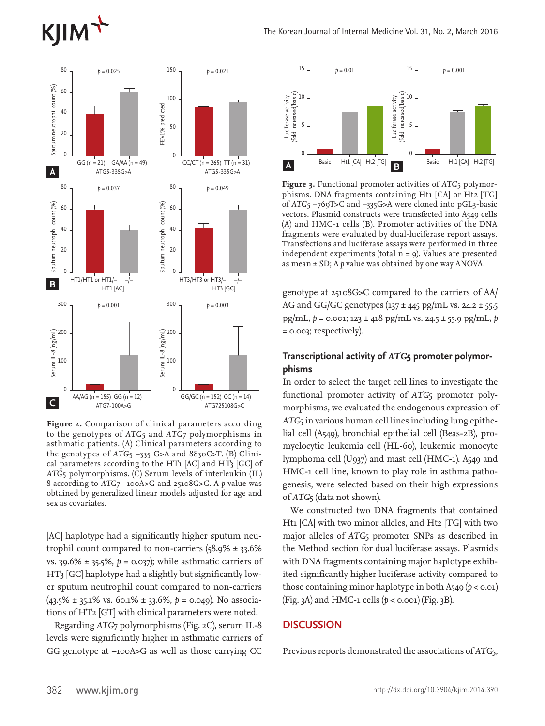# **KJIM**



**Figure 2.** Comparison of clinical parameters according to the genotypes of *ATG*5 and *ATG*7 polymorphisms in asthmatic patients. (A) Clinical parameters according to the genotypes of ATG<sub>5</sub> -335 G>A and 8830C>T. (B) Clinical parameters according to the HT1 [AC] and HT3 [GC] of *ATG*5 polymorphisms. (C) Serum levels of interleukin (IL) 8 according to *ATG*7 –100A>G and 25108G>C. A *p* value was obtained by generalized linear models adjusted for age and sex as covariates.

[AC] haplotype had a significantly higher sputum neutrophil count compared to non-carriers  $(58.9\% \pm 33.6\%)$ vs. 39.6% ± 35.5%, *p* = 0.037); while asthmatic carriers of HT3 [GC] haplotype had a slightly but significantly lower sputum neutrophil count compared to non-carriers (43.5% ± 35.1% vs. 60.1% ± 33.6%, *p* = 0.049). No associations of HT2 [GT] with clinical parameters were noted.

Regarding *ATG*7 polymorphisms (Fig. 2C), serum IL-8 levels were significantly higher in asthmatic carriers of GG genotype at –100A>G as well as those carrying CC



**Figure 3.** Functional promoter activities of *ATG*5 polymorphisms. DNA fragments containing Ht1 [CA] or Ht2 [TG] of *ATG*5 –769T>C and –335G>A were cloned into pGL3-basic vectors. Plasmid constructs were transfected into A549 cells (A) and HMC-1 cells (B). Promoter activities of the DNA fragments were evaluated by dual-luciferase report assays. Transfections and luciferase assays were performed in three independent experiments (total  $n = 9$ ). Values are presented as mean ± SD; A *p* value was obtained by one way ANOVA.

genotype at 25108G>C compared to the carriers of AA/ AG and GG/GC genotypes ( $137 \pm 445$  pg/mL vs. 24.2  $\pm 55.5$ ) pg/mL, *p* = 0.001; 123 ± 418 pg/mL vs. 24.5 ± 55.9 pg/mL, *p* = 0.003; respectively).

# **Transcriptional activity of** *ATG***5 promoter polymorphisms**

In order to select the target cell lines to investigate the functional promoter activity of *ATG*5 promoter polymorphisms, we evaluated the endogenous expression of *ATG*5 in various human cell lines including lung epithelial cell (A549), bronchial epithelial cell (Beas-2B), promyelocytic leukemia cell (HL-60), leukemic monocyte lymphoma cell (U937) and mast cell (HMC-1). A549 and HMC-1 cell line, known to play role in asthma pathogenesis, were selected based on their high expressions of *ATG*5 (data not shown).

We constructed two DNA fragments that contained Ht1 [CA] with two minor alleles, and Ht2 [TG] with two major alleles of *ATG*5 promoter SNPs as described in the Method section for dual luciferase assays. Plasmids with DNA fragments containing major haplotype exhibited significantly higher luciferase activity compared to those containing minor haplotype in both A549 ( $p <$  0.01) (Fig. 3A) and HMC-1 cells (*p* < 0.001) (Fig. 3B).

# **DISCUSSION**

Previous reports demonstrated the associations of *ATG*5,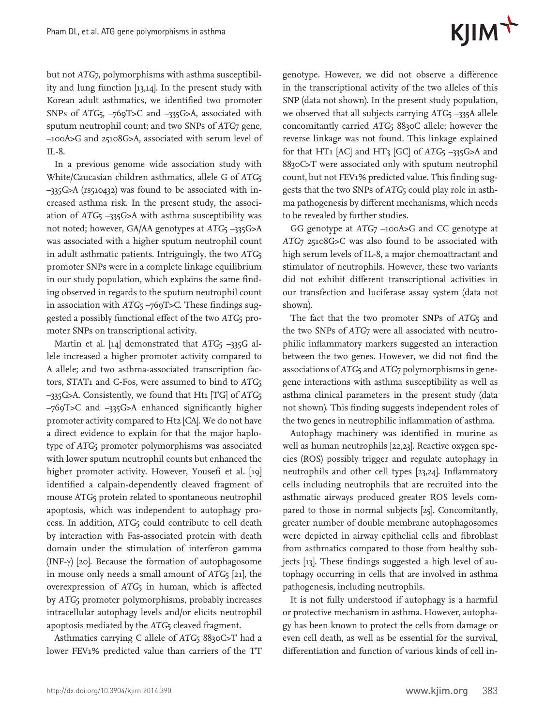# $K$  $\text{I} \text{I} \text{M}$ <sup>+</sup>

but not *ATG*7, polymorphisms with asthma susceptibility and lung function [13,14]. In the present study with Korean adult asthmatics, we identified two promoter SNPs of *ATG*5, –769T>C and –335G>A, associated with sputum neutrophil count; and two SNPs of *ATG*7 gene, –100A>G and 25108G>A, associated with serum level of IL-8.

In a previous genome wide association study with White/Caucasian children asthmatics, allele G of *ATG*5 –335G>A (rs510432) was found to be associated with increased asthma risk. In the present study, the association of *ATG*5 –335G>A with asthma susceptibility was not noted; however, GA/AA genotypes at *ATG*<sub>5</sub> –335G>A was associated with a higher sputum neutrophil count in adult asthmatic patients. Intriguingly, the two *ATG*5 promoter SNPs were in a complete linkage equilibrium in our study population, which explains the same finding observed in regards to the sputum neutrophil count in association with *ATG*<sub>5</sub> –769T>C. These findings suggested a possibly functional effect of the two *ATG*5 promoter SNPs on transcriptional activity.

Martin et al. [14] demonstrated that *ATG*<sub>5</sub> -335G allele increased a higher promoter activity compared to A allele; and two asthma-associated transcription factors, STAT1 and C-Fos, were assumed to bind to *ATG*5 –335G>A. Consistently, we found that Ht1 [TG] of *ATG*5 –769T>C and –335G>A enhanced significantly higher promoter activity compared to Ht2 [CA]. We do not have a direct evidence to explain for that the major haplotype of *ATG*5 promoter polymorphisms was associated with lower sputum neutrophil counts but enhanced the higher promoter activity. However, Yousefi et al. [19] identified a calpain-dependently cleaved fragment of mouse ATG5 protein related to spontaneous neutrophil apoptosis, which was independent to autophagy process. In addition, ATG5 could contribute to cell death by interaction with Fas-associated protein with death domain under the stimulation of interferon gamma (INF-γ) [20]. Because the formation of autophagosome in mouse only needs a small amount of *ATG*5 [21], the overexpression of *ATG*5 in human, which is affected by *ATG*5 promoter polymorphisms, probably increases intracellular autophagy levels and/or elicits neutrophil apoptosis mediated by the *ATG*5 cleaved fragment.

Asthmatics carrying C allele of *ATG*5 8830C>T had a lower FEV1% predicted value than carriers of the TT genotype. However, we did not observe a difference in the transcriptional activity of the two alleles of this SNP (data not shown). In the present study population, we observed that all subjects carrying *ATG*<sub>5</sub> –335A allele concomitantly carried *ATG*5 8830C allele; however the reverse linkage was not found. This linkage explained for that HT1 [AC] and HT3 [GC] of *ATG*5 –335G>A and 8830C>T were associated only with sputum neutrophil count, but not FEV1% predicted value. This finding suggests that the two SNPs of *ATG*5 could play role in asthma pathogenesis by different mechanisms, which needs to be revealed by further studies.

GG genotype at *ATG*7 –100A>G and CC genotype at *ATG*7 25108G>C was also found to be associated with high serum levels of IL-8, a major chemoattractant and stimulator of neutrophils. However, these two variants did not exhibit different transcriptional activities in our transfection and luciferase assay system (data not shown).

The fact that the two promoter SNPs of *ATG*5 and the two SNPs of *ATG*7 were all associated with neutrophilic inflammatory markers suggested an interaction between the two genes. However, we did not find the associations of *ATG*5 and *ATG*7 polymorphisms in genegene interactions with asthma susceptibility as well as asthma clinical parameters in the present study (data not shown). This finding suggests independent roles of the two genes in neutrophilic inflammation of asthma.

Autophagy machinery was identified in murine as well as human neutrophils [22,23]. Reactive oxygen species (ROS) possibly trigger and regulate autophagy in neutrophils and other cell types [23,24]. Inflammatory cells including neutrophils that are recruited into the asthmatic airways produced greater ROS levels compared to those in normal subjects [25]. Concomitantly, greater number of double membrane autophagosomes were depicted in airway epithelial cells and fibroblast from asthmatics compared to those from healthy subjects [13]. These findings suggested a high level of autophagy occurring in cells that are involved in asthma pathogenesis, including neutrophils.

It is not fully understood if autophagy is a harmful or protective mechanism in asthma. However, autophagy has been known to protect the cells from damage or even cell death, as well as be essential for the survival, differentiation and function of various kinds of cell in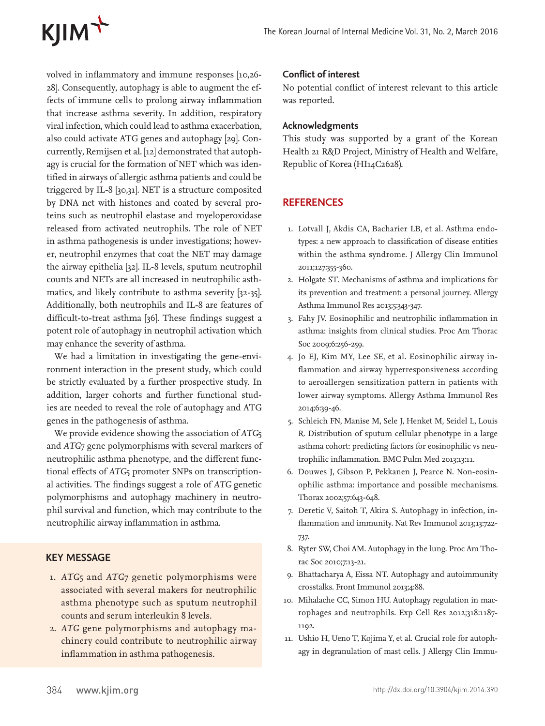volved in inflammatory and immune responses [10,26- 28]. Consequently, autophagy is able to augment the effects of immune cells to prolong airway inflammation that increase asthma severity. In addition, respiratory viral infection, which could lead to asthma exacerbation, also could activate ATG genes and autophagy [29]. Concurrently, Remijsen et al. [12] demonstrated that autophagy is crucial for the formation of NET which was identified in airways of allergic asthma patients and could be triggered by IL-8 [30,31]. NET is a structure composited by DNA net with histones and coated by several proteins such as neutrophil elastase and myeloperoxidase released from activated neutrophils. The role of NET in asthma pathogenesis is under investigations; however, neutrophil enzymes that coat the NET may damage the airway epithelia [32]. IL-8 levels, sputum neutrophil counts and NETs are all increased in neutrophilic asthmatics, and likely contribute to asthma severity [32-35]. Additionally, both neutrophils and IL-8 are features of difficult-to-treat asthma [36]. These findings suggest a potent role of autophagy in neutrophil activation which may enhance the severity of asthma.

We had a limitation in investigating the gene-environment interaction in the present study, which could be strictly evaluated by a further prospective study. In addition, larger cohorts and further functional studies are needed to reveal the role of autophagy and ATG genes in the pathogenesis of asthma.

We provide evidence showing the association of *ATG*5 and *ATG*7 gene polymorphisms with several markers of neutrophilic asthma phenotype, and the different functional effects of *ATG*5 promoter SNPs on transcriptional activities. The findings suggest a role of *ATG* genetic polymorphisms and autophagy machinery in neutrophil survival and function, which may contribute to the neutrophilic airway inflammation in asthma.

# **KEY MESSAGE**

- 1. *ATG*5 and *ATG*7 genetic polymorphisms were associated with several makers for neutrophilic asthma phenotype such as sputum neutrophil counts and serum interleukin 8 levels.
- 2. *ATG* gene polymorphisms and autophagy machinery could contribute to neutrophilic airway inflammation in asthma pathogenesis.

# **Conflict of interest**

No potential conflict of interest relevant to this article was reported.

# **Acknowledgments**

This study was supported by a grant of the Korean Health 21 R&D Project, Ministry of Health and Welfare, Republic of Korea (HI14C2628).

# **REFERENCES**

- 1. Lotvall J, Akdis CA, Bacharier LB, et al. Asthma endotypes: a new approach to classification of disease entities within the asthma syndrome. J Allergy Clin Immunol 2011;127:355-360.
- 2. Holgate ST. Mechanisms of asthma and implications for its prevention and treatment: a personal journey. Allergy Asthma Immunol Res 2013;5:343-347.
- 3. Fahy JV. Eosinophilic and neutrophilic inflammation in asthma: insights from clinical studies. Proc Am Thorac Soc 2009;6:256-259.
- 4. Jo EJ, Kim MY, Lee SE, et al. Eosinophilic airway inflammation and airway hyperresponsiveness according to aeroallergen sensitization pattern in patients with lower airway symptoms. Allergy Asthma Immunol Res 2014;6:39-46.
- 5. Schleich FN, Manise M, Sele J, Henket M, Seidel L, Louis R. Distribution of sputum cellular phenotype in a large asthma cohort: predicting factors for eosinophilic vs neutrophilic inflammation. BMC Pulm Med 2013;13:11.
- 6. Douwes J, Gibson P, Pekkanen J, Pearce N. Non-eosinophilic asthma: importance and possible mechanisms. Thorax 2002;57:643-648.
- 7. Deretic V, Saitoh T, Akira S. Autophagy in infection, inflammation and immunity. Nat Rev Immunol 2013;13:722- 737.
- 8. Ryter SW, Choi AM. Autophagy in the lung. Proc Am Thorac Soc 2010;7:13-21.
- 9. Bhattacharya A, Eissa NT. Autophagy and autoimmunity crosstalks. Front Immunol 2013;4:88.
- 10. Mihalache CC, Simon HU. Autophagy regulation in macrophages and neutrophils. Exp Cell Res 2012;318:1187- 1192.
- 11. Ushio H, Ueno T, Kojima Y, et al. Crucial role for autophagy in degranulation of mast cells. J Allergy Clin Immu-